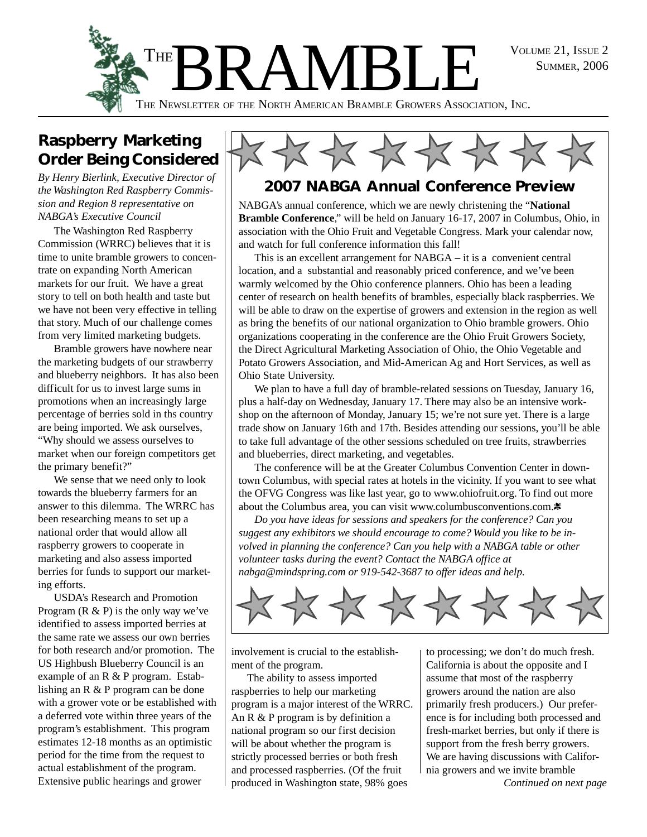SUMMER, 2006



### **Raspberry Marketing Order Being Considered**

*By Henry Bierlink, Executive Director of the Washington Red Raspberry Commission and Region 8 representative on NABGA's Executive Council*

The Washington Red Raspberry Commission (WRRC) believes that it is time to unite bramble growers to concentrate on expanding North American markets for our fruit. We have a great story to tell on both health and taste but we have not been very effective in telling that story. Much of our challenge comes from very limited marketing budgets.

Bramble growers have nowhere near the marketing budgets of our strawberry and blueberry neighbors. It has also been difficult for us to invest large sums in promotions when an increasingly large percentage of berries sold in ths country are being imported. We ask ourselves, "Why should we assess ourselves to market when our foreign competitors get the primary benefit?"

We sense that we need only to look towards the blueberry farmers for an answer to this dilemma. The WRRC has been researching means to set up a national order that would allow all raspberry growers to cooperate in marketing and also assess imported berries for funds to support our marketing efforts.

USDA's Research and Promotion Program  $(R \& P)$  is the only way we've identified to assess imported berries at the same rate we assess our own berries for both research and/or promotion. The US Highbush Blueberry Council is an example of an R & P program. Establishing an R & P program can be done with a grower vote or be established with a deferred vote within three years of the program's establishment. This program estimates 12-18 months as an optimistic period for the time from the request to actual establishment of the program. Extensive public hearings and grower  $\Box$  produced in Washington state, 98% goes *Continued on next page* 



### **2007 NABGA Annual Conference Preview**

NABGA's annual conference, which we are newly christening the "**National Bramble Conference**," will be held on January 16-17, 2007 in Columbus, Ohio, in association with the Ohio Fruit and Vegetable Congress. Mark your calendar now, and watch for full conference information this fall!

This is an excellent arrangement for NABGA – it is a convenient central location, and a substantial and reasonably priced conference, and we've been warmly welcomed by the Ohio conference planners. Ohio has been a leading center of research on health benefits of brambles, especially black raspberries. We will be able to draw on the expertise of growers and extension in the region as well as bring the benefits of our national organization to Ohio bramble growers. Ohio organizations cooperating in the conference are the Ohio Fruit Growers Society, the Direct Agricultural Marketing Association of Ohio, the Ohio Vegetable and Potato Growers Association, and Mid-American Ag and Hort Services, as well as Ohio State University.

We plan to have a full day of bramble-related sessions on Tuesday, January 16, plus a half-day on Wednesday, January 17. There may also be an intensive workshop on the afternoon of Monday, January 15; we're not sure yet. There is a large trade show on January 16th and 17th. Besides attending our sessions, you'll be able to take full advantage of the other sessions scheduled on tree fruits, strawberries and blueberries, direct marketing, and vegetables.

The conference will be at the Greater Columbus Convention Center in downtown Columbus, with special rates at hotels in the vicinity. If you want to see what the OFVG Congress was like last year, go to www.ohiofruit.org. To find out more about the Columbus area, you can visit www.columbusconventions.com.

*Do you have ideas for sessions and speakers for the conference? Can you suggest any exhibitors we should encourage to come? Would you like to be involved in planning the conference? Can you help with a NABGA table or other volunteer tasks during the event? Contact the NABGA office at nabga@mindspring.com or 919-542-3687 to offer ideas and help.*



involvement is crucial to the establishment of the program.

The ability to assess imported raspberries to help our marketing program is a major interest of the WRRC. An R & P program is by definition a national program so our first decision will be about whether the program is strictly processed berries or both fresh and processed raspberries. (Of the fruit

to processing; we don't do much fresh. California is about the opposite and I assume that most of the raspberry growers around the nation are also primarily fresh producers.) Our preference is for including both processed and fresh-market berries, but only if there is support from the fresh berry growers. We are having discussions with California growers and we invite bramble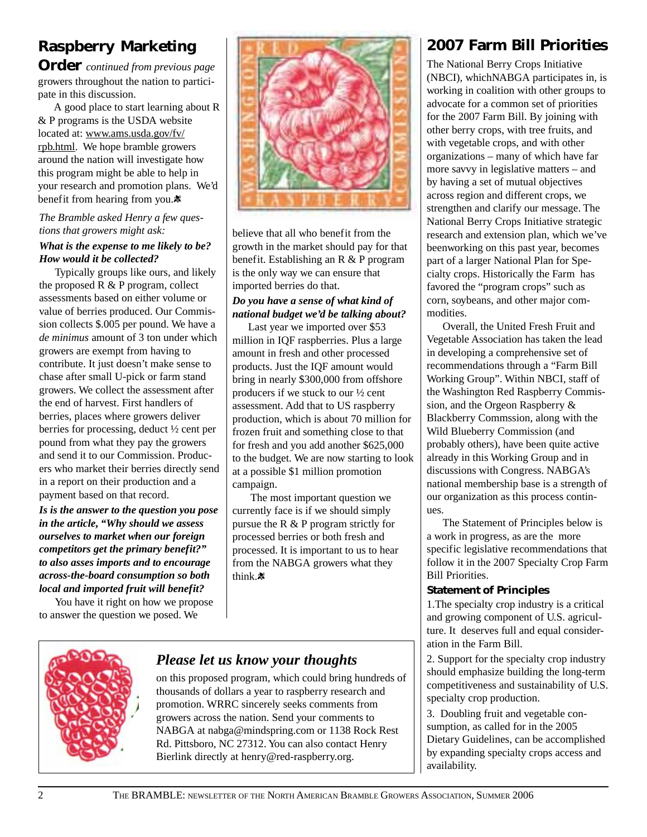### **Raspberry Marketing**

**Order** *continued from previous page* growers throughout the nation to participate in this discussion.

A good place to start learning about R & P programs is the USDA website located at: www.ams.usda.gov/fv/ rpb.html. We hope bramble growers around the nation will investigate how this program might be able to help in your research and promotion plans. We'd benefit from hearing from you.

#### *The Bramble asked Henry a few questions that growers might ask: What is the expense to me likely to be? How would it be collected?*

Typically groups like ours, and likely the proposed R & P program, collect assessments based on either volume or value of berries produced. Our Commission collects \$.005 per pound. We have a *de minimus* amount of 3 ton under which growers are exempt from having to contribute. It just doesn't make sense to chase after small U-pick or farm stand growers. We collect the assessment after the end of harvest. First handlers of berries, places where growers deliver berries for processing, deduct ½ cent per pound from what they pay the growers and send it to our Commission. Producers who market their berries directly send in a report on their production and a payment based on that record.

*Is is the answer to the question you pose in the article, "Why should we assess ourselves to market when our foreign competitors get the primary benefit?" to also asses imports and to encourage across-the-board consumption so both local and imported fruit will benefit?*

You have it right on how we propose to answer the question we posed. We



believe that all who benefit from the growth in the market should pay for that benefit. Establishing an R & P program is the only way we can ensure that imported berries do that.

#### *Do you have a sense of what kind of national budget we'd be talking about?*

Last year we imported over \$53 million in IQF raspberries. Plus a large amount in fresh and other processed products. Just the IQF amount would bring in nearly \$300,000 from offshore producers if we stuck to our ½ cent assessment. Add that to US raspberry production, which is about 70 million for frozen fruit and something close to that for fresh and you add another \$625,000 to the budget. We are now starting to look at a possible \$1 million promotion campaign.

 The most important question we currently face is if we should simply pursue the R & P program strictly for processed berries or both fresh and processed. It is important to us to hear from the NABGA growers what they think.

### **2007 Farm Bill Priorities**

The National Berry Crops Initiative (NBCI), whichNABGA participates in, is working in coalition with other groups to advocate for a common set of priorities for the 2007 Farm Bill. By joining with other berry crops, with tree fruits, and with vegetable crops, and with other organizations – many of which have far more savvy in legislative matters – and by having a set of mutual objectives across region and different crops, we strengthen and clarify our message. The National Berry Crops Initiative strategic research and extension plan, which we've beenworking on this past year, becomes part of a larger National Plan for Specialty crops. Historically the Farm has favored the "program crops" such as corn, soybeans, and other major commodities.

Overall, the United Fresh Fruit and Vegetable Association has taken the lead in developing a comprehensive set of recommendations through a "Farm Bill Working Group". Within NBCI, staff of the Washington Red Raspberry Commission, and the Orgeon Raspberry & Blackberry Commssion, along with the Wild Blueberry Commission (and probably others), have been quite active already in this Working Group and in discussions with Congress. NABGA's national membership base is a strength of our organization as this process continues.

The Statement of Principles below is a work in progress, as are the more specific legislative recommendations that follow it in the 2007 Specialty Crop Farm Bill Priorities.

#### **Statement of Principles**

1.The specialty crop industry is a critical and growing component of U.S. agriculture. It deserves full and equal consideration in the Farm Bill.

2. Support for the specialty crop industry should emphasize building the long-term competitiveness and sustainability of U.S. specialty crop production.

3. Doubling fruit and vegetable consumption, as called for in the 2005 Dietary Guidelines, can be accomplished by expanding specialty crops access and availability.



### *Please let us know your thoughts*

on this proposed program, which could bring hundreds of thousands of dollars a year to raspberry research and promotion. WRRC sincerely seeks comments from growers across the nation. Send your comments to NABGA at nabga@mindspring.com or 1138 Rock Rest Rd. Pittsboro, NC 27312. You can also contact Henry Bierlink directly at henry@red-raspberry.org.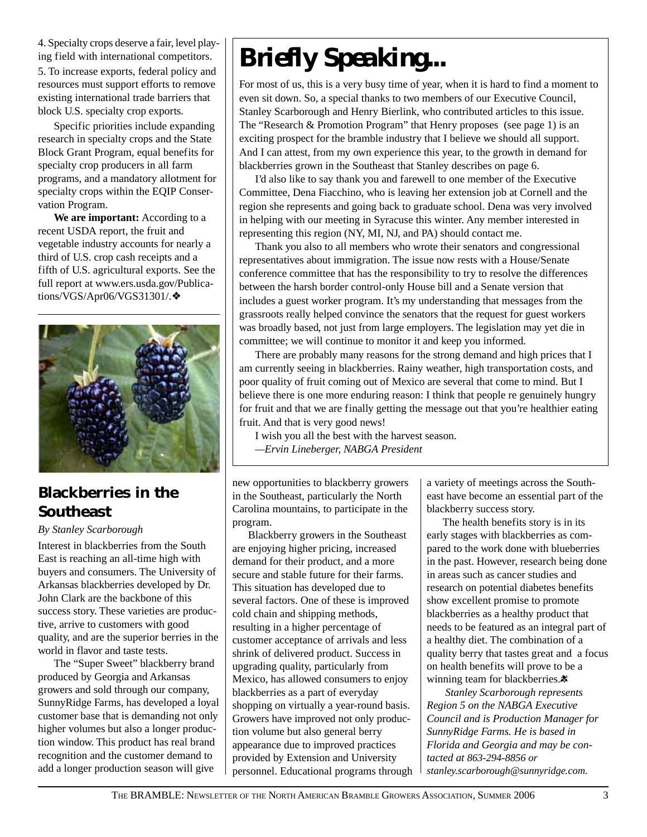4. Specialty crops deserve a fair, level playing field with international competitors. 5. To increase exports, federal policy and resources must support efforts to remove existing international trade barriers that block U.S. specialty crop exports.

Specific priorities include expanding research in specialty crops and the State Block Grant Program, equal benefits for specialty crop producers in all farm programs, and a mandatory allotment for specialty crops within the EQIP Conservation Program.

**We are important:** According to a recent USDA report, the fruit and vegetable industry accounts for nearly a third of U.S. crop cash receipts and a fifth of U.S. agricultural exports. See the full report at www.ers.usda.gov/Publications/VGS/Apr06/VGS31301/.❖



### **Blackberries in the Southeast**

#### *By Stanley Scarborough*

Interest in blackberries from the South East is reaching an all-time high with buyers and consumers. The University of Arkansas blackberries developed by Dr. John Clark are the backbone of this success story. These varieties are productive, arrive to customers with good quality, and are the superior berries in the world in flavor and taste tests.

The "Super Sweet" blackberry brand produced by Georgia and Arkansas growers and sold through our company, SunnyRidge Farms, has developed a loyal customer base that is demanding not only higher volumes but also a longer production window. This product has real brand recognition and the customer demand to add a longer production season will give

# *Briefly Speaking...*

For most of us, this is a very busy time of year, when it is hard to find a moment to even sit down. So, a special thanks to two members of our Executive Council, Stanley Scarborough and Henry Bierlink, who contributed articles to this issue. The "Research & Promotion Program" that Henry proposes (see page 1) is an exciting prospect for the bramble industry that I believe we should all support. And I can attest, from my own experience this year, to the growth in demand for blackberries grown in the Southeast that Stanley describes on page 6.

I'd also like to say thank you and farewell to one member of the Executive Committee, Dena Fiacchino, who is leaving her extension job at Cornell and the region she represents and going back to graduate school. Dena was very involved in helping with our meeting in Syracuse this winter. Any member interested in representing this region (NY, MI, NJ, and PA) should contact me.

Thank you also to all members who wrote their senators and congressional representatives about immigration. The issue now rests with a House/Senate conference committee that has the responsibility to try to resolve the differences between the harsh border control-only House bill and a Senate version that includes a guest worker program. It's my understanding that messages from the grassroots really helped convince the senators that the request for guest workers was broadly based, not just from large employers. The legislation may yet die in committee; we will continue to monitor it and keep you informed.

There are probably many reasons for the strong demand and high prices that I am currently seeing in blackberries. Rainy weather, high transportation costs, and poor quality of fruit coming out of Mexico are several that come to mind. But I believe there is one more enduring reason: I think that people re genuinely hungry for fruit and that we are finally getting the message out that you're healthier eating fruit. And that is very good news!

I wish you all the best with the harvest season.

*—Ervin Lineberger, NABGA President*

new opportunities to blackberry growers in the Southeast, particularly the North Carolina mountains, to participate in the program.

Blackberry growers in the Southeast are enjoying higher pricing, increased demand for their product, and a more secure and stable future for their farms. This situation has developed due to several factors. One of these is improved cold chain and shipping methods, resulting in a higher percentage of customer acceptance of arrivals and less shrink of delivered product. Success in upgrading quality, particularly from Mexico, has allowed consumers to enjoy blackberries as a part of everyday shopping on virtually a year-round basis. Growers have improved not only production volume but also general berry appearance due to improved practices provided by Extension and University personnel. Educational programs through a variety of meetings across the Southeast have become an essential part of the blackberry success story.

The health benefits story is in its early stages with blackberries as compared to the work done with blueberries in the past. However, research being done in areas such as cancer studies and research on potential diabetes benefits show excellent promise to promote blackberries as a healthy product that needs to be featured as an integral part of a healthy diet. The combination of a quality berry that tastes great and a focus on health benefits will prove to be a winning team for blackberries. $\ast$ 

 *Stanley Scarborough represents Region 5 on the NABGA Executive Council and is Production Manager for SunnyRidge Farms. He is based in Florida and Georgia and may be contacted at 863-294-8856 or stanley.scarborough@sunnyridge.com.*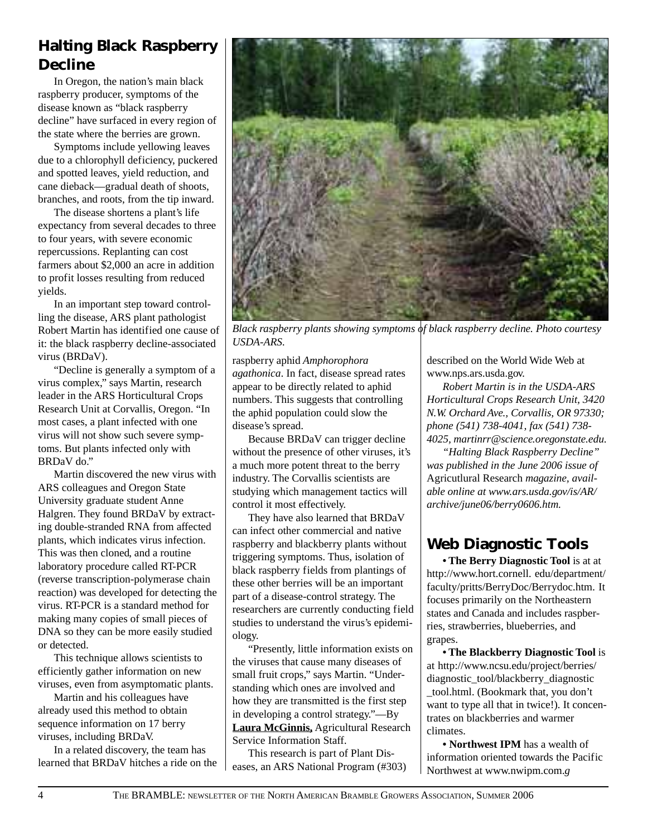### **Halting Black Raspberry Decline**

In Oregon, the nation's main black raspberry producer, symptoms of the disease known as "black raspberry decline" have surfaced in every region of the state where the berries are grown.

Symptoms include yellowing leaves due to a chlorophyll deficiency, puckered and spotted leaves, yield reduction, and cane dieback—gradual death of shoots, branches, and roots, from the tip inward.

The disease shortens a plant's life expectancy from several decades to three to four years, with severe economic repercussions. Replanting can cost farmers about \$2,000 an acre in addition to profit losses resulting from reduced yields.

In an important step toward controlling the disease, ARS plant pathologist Robert Martin has identified one cause of it: the black raspberry decline-associated virus (BRDaV).

"Decline is generally a symptom of a virus complex," says Martin, research leader in the ARS Horticultural Crops Research Unit at Corvallis, Oregon. "In most cases, a plant infected with one virus will not show such severe symptoms. But plants infected only with BRDaV do."

Martin discovered the new virus with ARS colleagues and Oregon State University graduate student Anne Halgren. They found BRDaV by extracting double-stranded RNA from affected plants, which indicates virus infection. This was then cloned, and a routine laboratory procedure called RT-PCR (reverse transcription-polymerase chain reaction) was developed for detecting the virus. RT-PCR is a standard method for making many copies of small pieces of DNA so they can be more easily studied or detected.

This technique allows scientists to efficiently gather information on new viruses, even from asymptomatic plants.

Martin and his colleagues have already used this method to obtain sequence information on 17 berry viruses, including BRDaV.

In a related discovery, the team has learned that BRDaV hitches a ride on the



*Black raspberry plants showing symptoms of black raspberry decline. Photo courtesy USDA-ARS.*

raspberry aphid *Amphorophora agathonica*. In fact, disease spread rates appear to be directly related to aphid numbers. This suggests that controlling the aphid population could slow the disease's spread.

Because BRDaV can trigger decline without the presence of other viruses, it's a much more potent threat to the berry industry. The Corvallis scientists are studying which management tactics will control it most effectively.

They have also learned that BRDaV can infect other commercial and native raspberry and blackberry plants without triggering symptoms. Thus, isolation of black raspberry fields from plantings of these other berries will be an important part of a disease-control strategy. The researchers are currently conducting field studies to understand the virus's epidemiology.

"Presently, little information exists on the viruses that cause many diseases of small fruit crops," says Martin. "Understanding which ones are involved and how they are transmitted is the first step in developing a control strategy."—By **Laura McGinnis,** Agricultural Research Service Information Staff.

This research is part of Plant Diseases, an ARS National Program (#303) described on the World Wide Web at www.nps.ars.usda.gov.

*Robert Martin is in the USDA-ARS Horticultural Crops Research Unit, 3420 N.W. Orchard Ave., Corvallis, OR 97330; phone (541) 738-4041, fax (541) 738- 4025, martinrr@science.oregonstate.edu.*

*"Halting Black Raspberry Decline" was published in the June 2006 issue of* Agricutlural Research *magazine, available online at www.ars.usda.gov/is/AR/ archive/june06/berry0606.htm.*

### **Web Diagnostic Tools**

**• The Berry Diagnostic Tool** is at at http://www.hort.cornell. edu/department/ faculty/pritts/BerryDoc/Berrydoc.htm. It focuses primarily on the Northeastern states and Canada and includes raspberries, strawberries, blueberries, and grapes.

**• The Blackberry Diagnostic Tool** is at http://www.ncsu.edu/project/berries/ diagnostic\_tool/blackberry\_diagnostic \_tool.html. (Bookmark that, you don't want to type all that in twice!). It concentrates on blackberries and warmer climates.

**• Northwest IPM** has a wealth of information oriented towards the Pacific Northwest at www.nwipm.com.*g*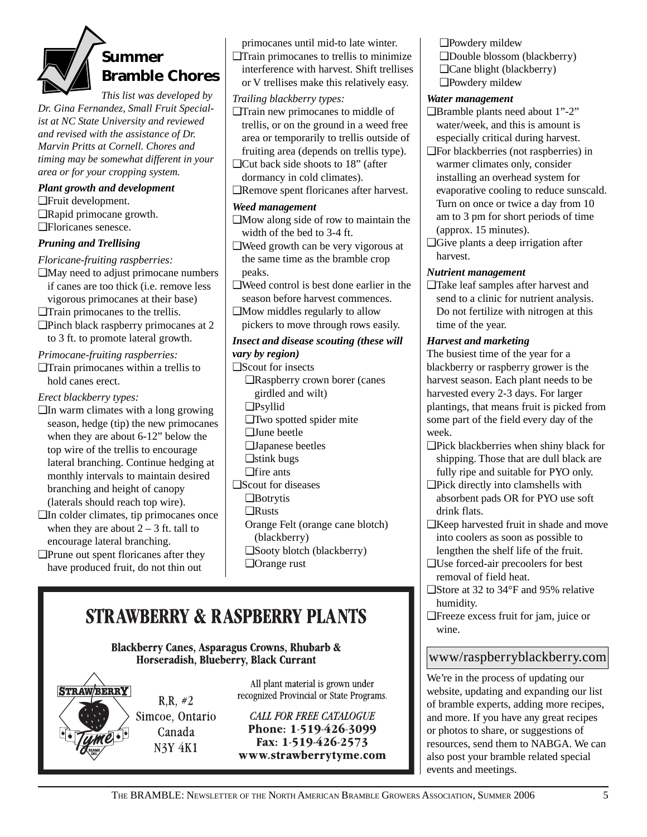# **Summer Bramble Chores**

*This list was developed by Dr. Gina Fernandez, Small Fruit Specialist at NC State University and reviewed and revised with the assistance of Dr. Marvin Pritts at Cornell. Chores and timing may be somewhat different in your area or for your cropping system.*

#### *Plant growth and development*

❑Fruit development. ❑Rapid primocane growth. ❑Floricanes senesce.

### *Pruning and Trellising*

*Floricane-fruiting raspberries:*

- ❑May need to adjust primocane numbers if canes are too thick (i.e. remove less vigorous primocanes at their base)
- ❑Train primocanes to the trellis.
- ❑Pinch black raspberry primocanes at 2 to 3 ft. to promote lateral growth.

#### *Primocane-fruiting raspberries:*

❑Train primocanes within a trellis to hold canes erect.

#### *Erect blackberry types:*

- ❑In warm climates with a long growing season, hedge (tip) the new primocanes when they are about 6-12" below the top wire of the trellis to encourage lateral branching. Continue hedging at monthly intervals to maintain desired branching and height of canopy (laterals should reach top wire).
- ❑In colder climates, tip primocanes once when they are about  $2 - 3$  ft. tall to encourage lateral branching.
- ❑Prune out spent floricanes after they have produced fruit, do not thin out

primocanes until mid-to late winter.

❑Train primocanes to trellis to minimize interference with harvest. Shift trellises or V trellises make this relatively easy.

#### *Trailing blackberry types:*

- ❑Train new primocanes to middle of trellis, or on the ground in a weed free area or temporarily to trellis outside of fruiting area (depends on trellis type).
- ❑Cut back side shoots to 18" (after dormancy in cold climates).
- ❑Remove spent floricanes after harvest.

#### *Weed management*

- ❑Mow along side of row to maintain the width of the bed to 3-4 ft.
- ❑Weed growth can be very vigorous at the same time as the bramble crop peaks.
- ❑Weed control is best done earlier in the season before harvest commences.
- ❑Mow middles regularly to allow pickers to move through rows easily.

#### *Insect and disease scouting (these will*

*vary by region)*

- ❑Scout for insects
- ❑Raspberry crown borer (canes girdled and wilt)
	- ❑Psyllid
	- ❑Two spotted spider mite
	- ❑June beetle
	- ❑Japanese beetles
- ❑stink bugs
- ❑fire ants
- ❑Scout for diseases
	- ❑Botrytis
	- ❑Rusts
	- Orange Felt (orange cane blotch) (blackberry)
	- ❑Sooty blotch (blackberry)
	- ❑Orange rust

## **STRAWBERRY & RASPBERRY PLANTS**

**Blackberry Canes, Asparagus Crowns, Rhubarb &** Horseradish, Blueberry, Black Currant

 $R.R. #2$ 

Canada

**N3Y 4K1** 



All plant material is grown under recognized Provincial or State Programs.

**CALL FOR FREE CATALOGUE** Phone: 1-519-426-3099 Fax: 1-519-426-2573 www.strawberrytyme.com ❑Powdery mildew ❑Double blossom (blackberry) ❑Cane blight (blackberry) ❑Powdery mildew

#### *Water management*

- ❑Bramble plants need about 1"-2" water/week, and this is amount is especially critical during harvest.
- ❑For blackberries (not raspberries) in warmer climates only, consider installing an overhead system for evaporative cooling to reduce sunscald. Turn on once or twice a day from 10 am to 3 pm for short periods of time (approx. 15 minutes).
- ❑Give plants a deep irrigation after harvest.

#### *Nutrient management*

❑Take leaf samples after harvest and send to a clinic for nutrient analysis. Do not fertilize with nitrogen at this time of the year.

#### *Harvest and marketing*

The busiest time of the year for a blackberry or raspberry grower is the harvest season. Each plant needs to be harvested every 2-3 days. For larger plantings, that means fruit is picked from some part of the field every day of the week.

- ❑Pick blackberries when shiny black for shipping. Those that are dull black are fully ripe and suitable for PYO only.
- ❑Pick directly into clamshells with absorbent pads OR for PYO use soft drink flats.
- ❑Keep harvested fruit in shade and move into coolers as soon as possible to lengthen the shelf life of the fruit.
- ❑Use forced-air precoolers for best removal of field heat.
- ❑Store at 32 to 34°F and 95% relative humidity.
- ❑Freeze excess fruit for jam, juice or wine.

### www/raspberryblackberry.com

We're in the process of updating our website, updating and expanding our list of bramble experts, adding more recipes, and more. If you have any great recipes or photos to share, or suggestions of resources, send them to NABGA. We can also post your bramble related special events and meetings.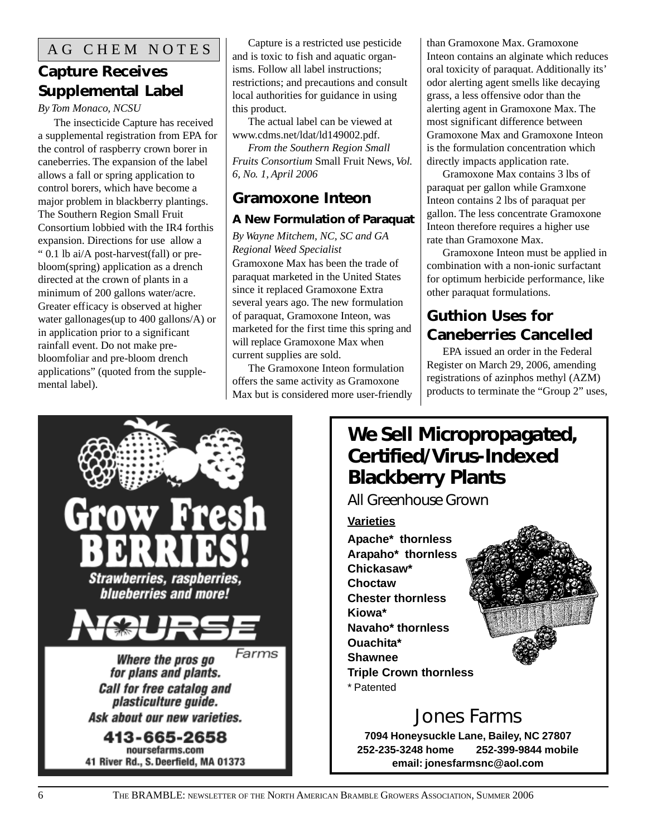### **Capture Receives Supplemental Label**

#### *By Tom Monaco, NCSU*

The insecticide Capture has received a supplemental registration from EPA for the control of raspberry crown borer in caneberries. The expansion of the label allows a fall or spring application to control borers, which have become a major problem in blackberry plantings. The Southern Region Small Fruit Consortium lobbied with the IR4 forthis expansion. Directions for use allow a " 0.1 lb ai/A post-harvest(fall) or prebloom(spring) application as a drench directed at the crown of plants in a minimum of 200 gallons water/acre. Greater efficacy is observed at higher water gallonages(up to 400 gallons/A) or in application prior to a significant rainfall event. Do not make prebloomfoliar and pre-bloom drench applications" (quoted from the supplemental label).

Capture is a restricted use pesticide and is toxic to fish and aquatic organisms. Follow all label instructions; restrictions; and precautions and consult local authorities for guidance in using this product.

The actual label can be viewed at www.cdms.net/ldat/ld149002.pdf.

*From the Southern Region Small Fruits Consortium* Small Fruit News, *Vol. 6, No. 1, April 2006*

### **Gramoxone Inteon**

### **A New Formulation of Paraquat**

*By Wayne Mitchem, NC, SC and GA Regional Weed Specialist* Gramoxone Max has been the trade of paraquat marketed in the United States since it replaced Gramoxone Extra several years ago. The new formulation of paraquat, Gramoxone Inteon, was marketed for the first time this spring and will replace Gramoxone Max when current supplies are sold.

The Gramoxone Inteon formulation offers the same activity as Gramoxone Max but is considered more user-friendly than Gramoxone Max. Gramoxone Inteon contains an alginate which reduces oral toxicity of paraquat. Additionally its' odor alerting agent smells like decaying grass, a less offensive odor than the alerting agent in Gramoxone Max. The most significant difference between Gramoxone Max and Gramoxone Inteon is the formulation concentration which directly impacts application rate.

Gramoxone Max contains 3 lbs of paraquat per gallon while Gramxone Inteon contains 2 lbs of paraquat per gallon. The less concentrate Gramoxone Inteon therefore requires a higher use rate than Gramoxone Max.

Gramoxone Inteon must be applied in combination with a non-ionic surfactant for optimum herbicide performance, like other paraquat formulations.

### **Guthion Uses for Caneberries Cancelled**

EPA issued an order in the Federal Register on March 29, 2006, amending registrations of azinphos methyl (AZM) products to terminate the "Group 2" uses,



### **We Sell Micropropagated, Certified/Virus-Indexed Blackberry Plants**

*All Greenhouse Grown*

**Varieties Apache\* thornless Arapaho\* thornless Chickasaw\* Choctaw Chester thornless Kiowa\* Navaho\* thornless Ouachita\* Shawnee Triple Crown thornless** \* Patented

# Jones Farms

**7094 Honeysuckle Lane, Bailey, NC 27807 252-235-3248 home 252-399-9844 mobile email: jonesfarmsnc@aol.com**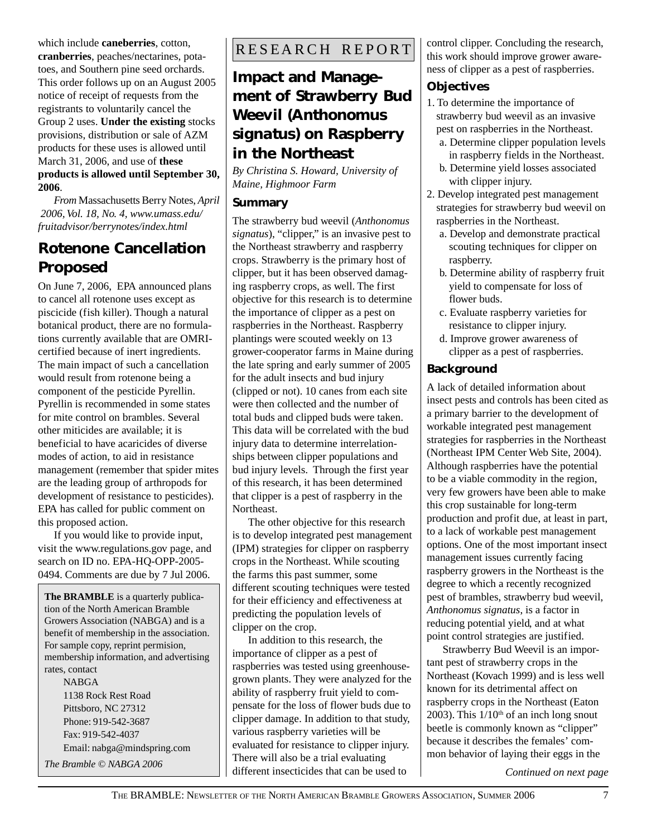which include **caneberries**, cotton, **cranberries**, peaches/nectarines, potatoes, and Southern pine seed orchards. This order follows up on an August 2005 notice of receipt of requests from the registrants to voluntarily cancel the Group 2 uses. **Under the existing** stocks provisions, distribution or sale of AZM products for these uses is allowed until March 31, 2006, and use of **these products is allowed until September 30, 2006**.

*From* Massachusetts Berry Notes, *April 2006, Vol. 18, No. 4, www.umass.edu/ fruitadvisor/berrynotes/index.html*

### **Rotenone Cancellation Proposed**

On June 7, 2006, EPA announced plans to cancel all rotenone uses except as piscicide (fish killer). Though a natural botanical product, there are no formulations currently available that are OMRIcertified because of inert ingredients. The main impact of such a cancellation would result from rotenone being a component of the pesticide Pyrellin. Pyrellin is recommended in some states for mite control on brambles. Several other miticides are available; it is beneficial to have acaricides of diverse modes of action, to aid in resistance management (remember that spider mites are the leading group of arthropods for development of resistance to pesticides). EPA has called for public comment on this proposed action.

If you would like to provide input, visit the www.regulations.gov page, and search on ID no. EPA-HQ-OPP-2005- 0494. Comments are due by 7 Jul 2006.

**The BRAMBLE** is a quarterly publication of the North American Bramble Growers Association (NABGA) and is a benefit of membership in the association. For sample copy, reprint permision, membership information, and advertising rates, contact NABGA

1138 Rock Rest Road Pittsboro, NC 27312 Phone: 919-542-3687 Fax: 919-542-4037 Email: nabga@mindspring.com *The Bramble © NABGA 2006*

### RESEARCH REPORT

### **Impact and Management of Strawberry Bud Weevil (***Anthonomus signatus***) on Raspberry in the Northeast**

*By Christina S. Howard, University of Maine, Highmoor Farm*

#### **Summary**

The strawberry bud weevil (*Anthonomus signatus*), "clipper," is an invasive pest to the Northeast strawberry and raspberry crops. Strawberry is the primary host of clipper, but it has been observed damaging raspberry crops, as well. The first objective for this research is to determine the importance of clipper as a pest on raspberries in the Northeast. Raspberry plantings were scouted weekly on 13 grower-cooperator farms in Maine during the late spring and early summer of 2005 for the adult insects and bud injury (clipped or not). 10 canes from each site were then collected and the number of total buds and clipped buds were taken. This data will be correlated with the bud injury data to determine interrelationships between clipper populations and bud injury levels. Through the first year of this research, it has been determined that clipper is a pest of raspberry in the Northeast.

The other objective for this research is to develop integrated pest management (IPM) strategies for clipper on raspberry crops in the Northeast. While scouting the farms this past summer, some different scouting techniques were tested for their efficiency and effectiveness at predicting the population levels of clipper on the crop.

In addition to this research, the importance of clipper as a pest of raspberries was tested using greenhousegrown plants. They were analyzed for the ability of raspberry fruit yield to compensate for the loss of flower buds due to clipper damage. In addition to that study, various raspberry varieties will be evaluated for resistance to clipper injury. There will also be a trial evaluating different insecticides that can be used to

control clipper. Concluding the research, this work should improve grower awareness of clipper as a pest of raspberries.

### **Objectives**

- 1. To determine the importance of strawberry bud weevil as an invasive pest on raspberries in the Northeast.
	- a. Determine clipper population levels in raspberry fields in the Northeast.
	- b. Determine yield losses associated with clipper injury.
- 2. Develop integrated pest management strategies for strawberry bud weevil on raspberries in the Northeast.
	- a. Develop and demonstrate practical scouting techniques for clipper on raspberry.
	- b. Determine ability of raspberry fruit yield to compensate for loss of flower buds.
	- c. Evaluate raspberry varieties for resistance to clipper injury.
	- d. Improve grower awareness of clipper as a pest of raspberries.

### **Background**

A lack of detailed information about insect pests and controls has been cited as a primary barrier to the development of workable integrated pest management strategies for raspberries in the Northeast (Northeast IPM Center Web Site, 2004). Although raspberries have the potential to be a viable commodity in the region, very few growers have been able to make this crop sustainable for long-term production and profit due, at least in part, to a lack of workable pest management options. One of the most important insect management issues currently facing raspberry growers in the Northeast is the degree to which a recently recognized pest of brambles, strawberry bud weevil, *Anthonomus signatus*, is a factor in reducing potential yield, and at what point control strategies are justified.

Strawberry Bud Weevil is an important pest of strawberry crops in the Northeast (Kovach 1999) and is less well known for its detrimental affect on raspberry crops in the Northeast (Eaton 2003). This  $1/10<sup>th</sup>$  of an inch long snout beetle is commonly known as "clipper" because it describes the females' common behavior of laying their eggs in the

*Continued on next page*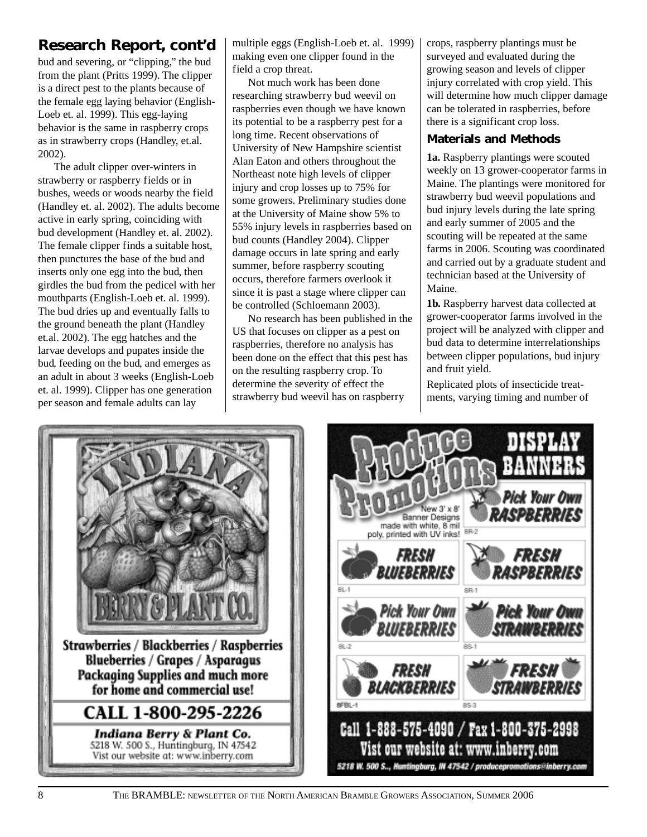bud and severing, or "clipping," the bud from the plant (Pritts 1999). The clipper is a direct pest to the plants because of the female egg laying behavior (English-Loeb et. al. 1999). This egg-laying behavior is the same in raspberry crops as in strawberry crops (Handley, et.al. 2002).

The adult clipper over-winters in strawberry or raspberry fields or in bushes, weeds or woods nearby the field (Handley et. al. 2002). The adults become active in early spring, coinciding with bud development (Handley et. al. 2002). The female clipper finds a suitable host, then punctures the base of the bud and inserts only one egg into the bud, then girdles the bud from the pedicel with her mouthparts (English-Loeb et. al. 1999). The bud dries up and eventually falls to the ground beneath the plant (Handley et.al. 2002). The egg hatches and the larvae develops and pupates inside the bud, feeding on the bud, and emerges as an adult in about 3 weeks (English-Loeb et. al. 1999). Clipper has one generation per season and female adults can lay

**Research Report, cont'd** multiple eggs (English-Loeb et. al. 1999) making even one clipper found in the field a crop threat.

> Not much work has been done researching strawberry bud weevil on raspberries even though we have known its potential to be a raspberry pest for a long time. Recent observations of University of New Hampshire scientist Alan Eaton and others throughout the Northeast note high levels of clipper injury and crop losses up to 75% for some growers. Preliminary studies done at the University of Maine show 5% to 55% injury levels in raspberries based on bud counts (Handley 2004). Clipper damage occurs in late spring and early summer, before raspberry scouting occurs, therefore farmers overlook it since it is past a stage where clipper can be controlled (Schloemann 2003).

> No research has been published in the US that focuses on clipper as a pest on raspberries, therefore no analysis has been done on the effect that this pest has on the resulting raspberry crop. To determine the severity of effect the strawberry bud weevil has on raspberry

crops, raspberry plantings must be surveyed and evaluated during the growing season and levels of clipper injury correlated with crop yield. This will determine how much clipper damage can be tolerated in raspberries, before there is a significant crop loss.

### **Materials and Methods**

**1a.** Raspberry plantings were scouted weekly on 13 grower-cooperator farms in Maine. The plantings were monitored for strawberry bud weevil populations and bud injury levels during the late spring and early summer of 2005 and the scouting will be repeated at the same farms in 2006. Scouting was coordinated and carried out by a graduate student and technician based at the University of Maine.

**1b.** Raspberry harvest data collected at grower-cooperator farms involved in the project will be analyzed with clipper and bud data to determine interrelationships between clipper populations, bud injury and fruit yield.

Replicated plots of insecticide treatments, varying timing and number of



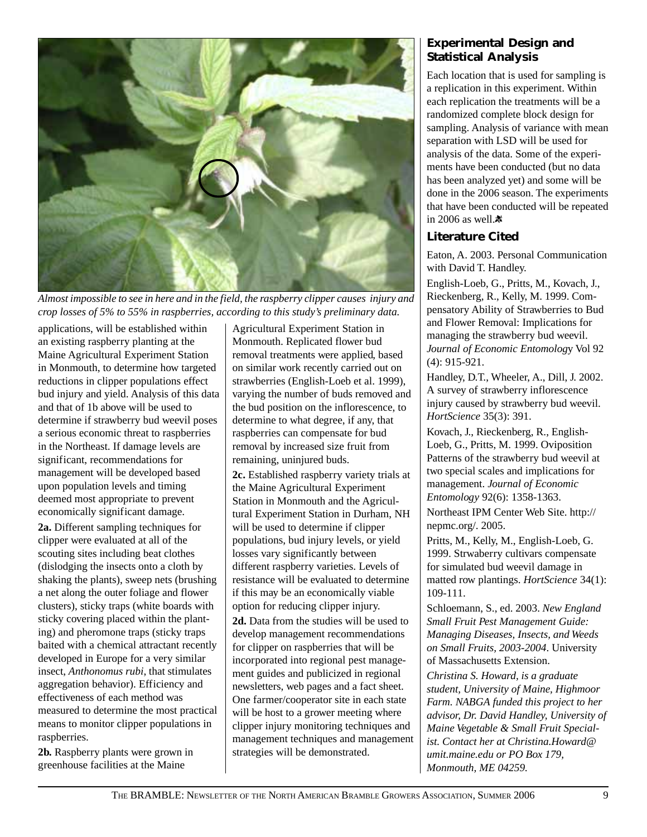

*Almost impossible to see in here and in the field, the raspberry clipper causes injury and crop losses of 5% to 55% in raspberries, according to this study's preliminary data.*

applications, will be established within an existing raspberry planting at the Maine Agricultural Experiment Station in Monmouth, to determine how targeted reductions in clipper populations effect bud injury and yield. Analysis of this data and that of 1b above will be used to determine if strawberry bud weevil poses a serious economic threat to raspberries in the Northeast. If damage levels are significant, recommendations for management will be developed based upon population levels and timing deemed most appropriate to prevent economically significant damage.

**2a.** Different sampling techniques for clipper were evaluated at all of the scouting sites including beat clothes (dislodging the insects onto a cloth by shaking the plants), sweep nets (brushing a net along the outer foliage and flower clusters), sticky traps (white boards with sticky covering placed within the planting) and pheromone traps (sticky traps baited with a chemical attractant recently developed in Europe for a very similar insect, *Anthonomus rubi*, that stimulates aggregation behavior). Efficiency and effectiveness of each method was measured to determine the most practical means to monitor clipper populations in raspberries.

**2b.** Raspberry plants were grown in greenhouse facilities at the Maine

Agricultural Experiment Station in Monmouth. Replicated flower bud removal treatments were applied, based on similar work recently carried out on strawberries (English-Loeb et al. 1999), varying the number of buds removed and the bud position on the inflorescence, to determine to what degree, if any, that raspberries can compensate for bud removal by increased size fruit from remaining, uninjured buds.

**2c.** Established raspberry variety trials at the Maine Agricultural Experiment Station in Monmouth and the Agricultural Experiment Station in Durham, NH will be used to determine if clipper populations, bud injury levels, or yield losses vary significantly between different raspberry varieties. Levels of resistance will be evaluated to determine if this may be an economically viable option for reducing clipper injury. **2d.** Data from the studies will be used to develop management recommendations for clipper on raspberries that will be incorporated into regional pest management guides and publicized in regional newsletters, web pages and a fact sheet. One farmer/cooperator site in each state will be host to a grower meeting where clipper injury monitoring techniques and management techniques and management strategies will be demonstrated.

### **Experimental Design and Statistical Analysis**

Each location that is used for sampling is a replication in this experiment. Within each replication the treatments will be a randomized complete block design for sampling. Analysis of variance with mean separation with LSD will be used for analysis of the data. Some of the experiments have been conducted (but no data has been analyzed yet) and some will be done in the 2006 season. The experiments that have been conducted will be repeated in 2006 as well. $\ddot{\mathbf{x}}$ 

### **Literature Cited**

Eaton, A. 2003. Personal Communication with David T. Handley.

English-Loeb, G., Pritts, M., Kovach, J., Rieckenberg, R., Kelly, M. 1999. Compensatory Ability of Strawberries to Bud and Flower Removal: Implications for managing the strawberry bud weevil. *Journal of Economic Entomolog*y Vol 92 (4): 915-921.

Handley, D.T., Wheeler, A., Dill, J. 2002. A survey of strawberry inflorescence injury caused by strawberry bud weevil. *HortScience* 35(3): 391.

Kovach, J., Rieckenberg, R., English-Loeb, G., Pritts, M. 1999. Oviposition Patterns of the strawberry bud weevil at two special scales and implications for management. *Journal of Economic Entomology* 92(6): 1358-1363.

Northeast IPM Center Web Site. http:// nepmc.org/. 2005.

Pritts, M., Kelly, M., English-Loeb, G. 1999. Strwaberry cultivars compensate for simulated bud weevil damage in matted row plantings. *HortScience* 34(1): 109-111.

Schloemann, S., ed. 2003. *New England Small Fruit Pest Management Guide: Managing Diseases, Insects, and Weeds on Small Fruits, 2003-2004*. University of Massachusetts Extension.

*Christina S. Howard, is a graduate student, University of Maine, Highmoor Farm. NABGA funded this project to her advisor, Dr. David Handley, University of Maine Vegetable & Small Fruit Specialist. Contact her at Christina.Howard@ umit.maine.edu or PO Box 179, Monmouth, ME 04259.*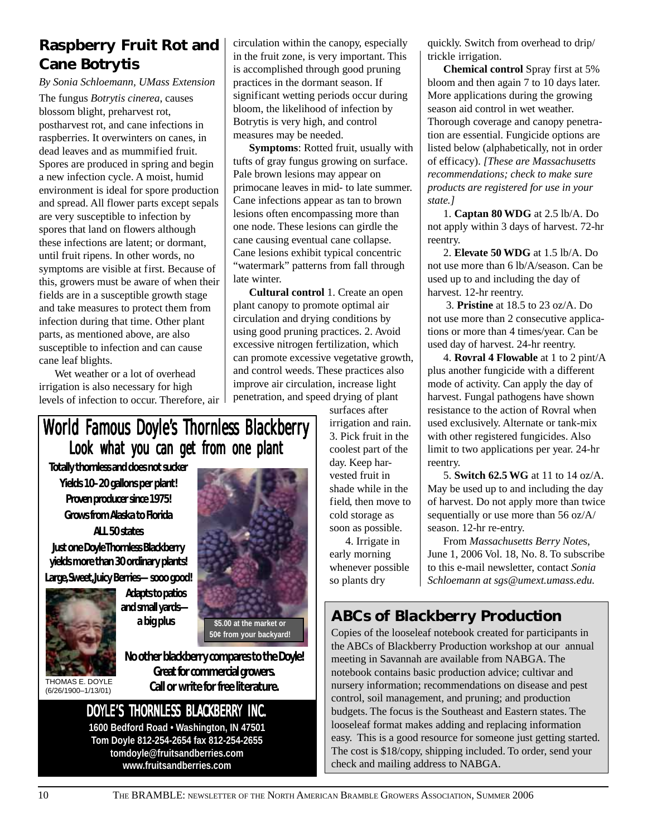### **Raspberry Fruit Rot and Cane Botrytis**

*By Sonia Schloemann, UMass Extension*

The fungus *Botrytis cinerea*, causes blossom blight, preharvest rot, postharvest rot, and cane infections in raspberries. It overwinters on canes, in dead leaves and as mummified fruit. Spores are produced in spring and begin a new infection cycle. A moist, humid environment is ideal for spore production and spread. All flower parts except sepals are very susceptible to infection by spores that land on flowers although these infections are latent; or dormant, until fruit ripens. In other words, no symptoms are visible at first. Because of this, growers must be aware of when their fields are in a susceptible growth stage and take measures to protect them from infection during that time. Other plant parts, as mentioned above, are also susceptible to infection and can cause cane leaf blights.

Wet weather or a lot of overhead irrigation is also necessary for high levels of infection to occur. Therefore, air circulation within the canopy, especially in the fruit zone, is very important. This is accomplished through good pruning practices in the dormant season. If significant wetting periods occur during bloom, the likelihood of infection by Botrytis is very high, and control measures may be needed.

**Symptoms**: Rotted fruit, usually with tufts of gray fungus growing on surface. Pale brown lesions may appear on primocane leaves in mid- to late summer. Cane infections appear as tan to brown lesions often encompassing more than one node. These lesions can girdle the cane causing eventual cane collapse. Cane lesions exhibit typical concentric "watermark" patterns from fall through late winter.

**Cultural control** 1. Create an open plant canopy to promote optimal air circulation and drying conditions by using good pruning practices. 2. Avoid excessive nitrogen fertilization, which can promote excessive vegetative growth, and control weeds. These practices also improve air circulation, increase light penetration, and speed drying of plant

### World Famous Doyle's Thornless Blackberry Look what you can get from one plant

**Totally thornless and does not sucker Yields 10–20 gallons per plant! Proven producer since 1975! Grows from Alaska to Florida ALL 50 states**

**Just one Doyle Thornless Blackberry yields more than 30 ordinary plants!**

**Large, Sweet, Juicy Berries—sooo good!**



**Adapts to patios and small yards a big plus**

THOMAS E. DOYLE (6/26/1900–1/13/01)

**No other blackberry compares to the Doyle! Great for commercial growers. Call or write for free literature. 50¢ from your backyard!**

**\$5.00 at the market or**

DOYLE'S THORNLESS BLACKBERRY INC.

**1600 Bedford Road • Washington, IN 47501 Tom Doyle 812-254-2654 fax 812-254-2655 tomdoyle@fruitsandberries.com www.fruitsandberries.com**

surfaces after irrigation and rain. 3. Pick fruit in the coolest part of the day. Keep harvested fruit in shade while in the field, then move to cold storage as soon as possible.

4. Irrigate in early morning whenever possible so plants dry

quickly. Switch from overhead to drip/ trickle irrigation.

**Chemical control** Spray first at 5% bloom and then again 7 to 10 days later. More applications during the growing season aid control in wet weather. Thorough coverage and canopy penetration are essential. Fungicide options are listed below (alphabetically, not in order of efficacy). *[These are Massachusetts recommendations; check to make sure products are registered for use in your state.]*

1. **Captan 80 WDG** at 2.5 lb/A. Do not apply within 3 days of harvest. 72-hr reentry.

2. **Elevate 50 WDG** at 1.5 lb/A. Do not use more than 6 lb/A/season. Can be used up to and including the day of harvest. 12-hr reentry.

 3. **Pristine** at 18.5 to 23 oz/A. Do not use more than 2 consecutive applications or more than 4 times/year. Can be used day of harvest. 24-hr reentry.

4. **Rovral 4 Flowable** at 1 to 2 pint/A plus another fungicide with a different mode of activity. Can apply the day of harvest. Fungal pathogens have shown resistance to the action of Rovral when used exclusively. Alternate or tank-mix with other registered fungicides. Also limit to two applications per year. 24-hr reentry.

5. **Switch 62.5 WG** at 11 to 14 oz/A. May be used up to and including the day of harvest. Do not apply more than twice sequentially or use more than 56 oz/A/ season. 12-hr re-entry.

From *Massachusetts Berry Note*s, June 1, 2006 Vol. 18, No. 8. To subscribe to this e-mail newsletter, contact *Sonia Schloemann at sgs@umext.umass.edu.*

### *ABCs of Blackberry Production*

Copies of the looseleaf notebook created for participants in the ABCs of Blackberry Production workshop at our annual meeting in Savannah are available from NABGA. The notebook contains basic production advice; cultivar and nursery information; recommendations on disease and pest control, soil management, and pruning; and production budgets. The focus is the Southeast and Eastern states. The looseleaf format makes adding and replacing information easy. This is a good resource for someone just getting started. The cost is \$18/copy, shipping included. To order, send your check and mailing address to NABGA.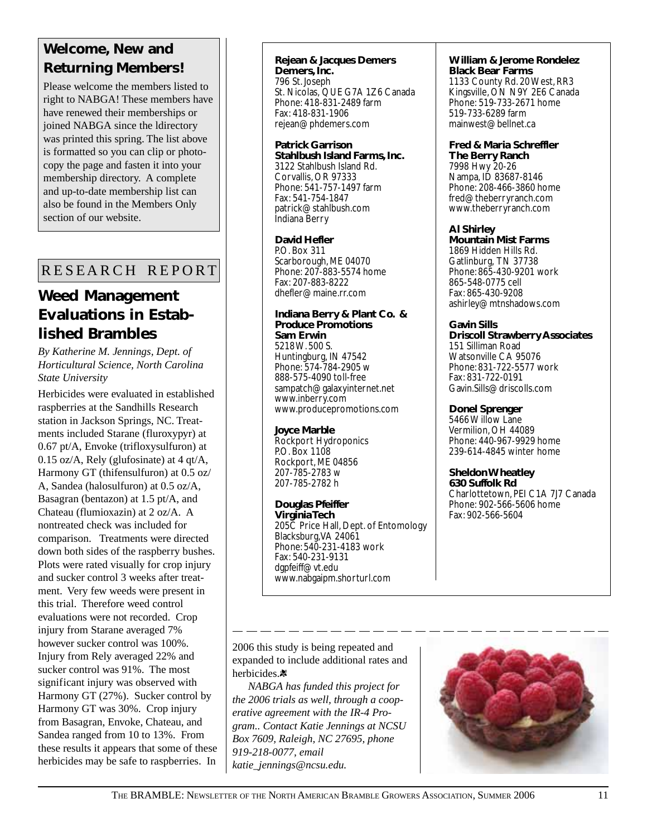### **Welcome, New and Returning Members!**

Please welcome the members listed to right to NABGA! These members have have renewed their memberships or joined NABGA since the ldirectory was printed this spring. The list above is formatted so you can clip or photocopy the page and fasten it into your membership directory. A complete and up-to-date membership list can also be found in the Members Only section of our website.

### RESEARCH REPORT

### **Weed Management Evaluations in Established Brambles**

*By Katherine M. Jennings, Dept. of Horticultural Science, North Carolina State University*

Herbicides were evaluated in established raspberries at the Sandhills Research station in Jackson Springs, NC. Treatments included Starane (fluroxypyr) at 0.67 pt/A, Envoke (trifloxysulfuron) at 0.15 oz/A, Rely (glufosinate) at 4 qt/A, Harmony GT (thifensulfuron) at 0.5 oz/ A, Sandea (halosulfuron) at 0.5 oz/A, Basagran (bentazon) at 1.5 pt/A, and Chateau (flumioxazin) at 2 oz/A. A nontreated check was included for comparison. Treatments were directed down both sides of the raspberry bushes. Plots were rated visually for crop injury and sucker control 3 weeks after treatment. Very few weeds were present in this trial. Therefore weed control evaluations were not recorded. Crop injury from Starane averaged 7% however sucker control was 100%. Injury from Rely averaged 22% and sucker control was 91%. The most significant injury was observed with Harmony GT (27%). Sucker control by Harmony GT was 30%. Crop injury from Basagran, Envoke, Chateau, and Sandea ranged from 10 to 13%. From these results it appears that some of these herbicides may be safe to raspberries. In

**Rejean & Jacques Demers Demers, Inc.** 796 St. Joseph St. Nicolas, QUE G7A 1Z6 Canada Phone: 418-831-2489 farm Fax: 418-831-1906 rejean@phdemers.com

**Patrick Garrison Stahlbush Island Farms, Inc.** 3122 Stahlbush Island Rd. Corvallis, OR 97333 Phone: 541-757-1497 farm Fax: 541-754-1847 patrick@stahlbush.com Indiana Berry

**David Hefler** P.O. Box 311 Scarborough, ME 04070 Phone: 207-883-5574 home Fax: 207-883-8222 dhefler@maine.rr.com

**Indiana Berry & Plant Co. & Produce Promotions Sam Erwin** 5218 W. 500 S. Huntingburg, IN 47542 Phone: 574-784-2905 w

888-575-4090 toll-free sampatch@galaxyinternet.net www.inberry.com www.producepromotions.com

#### **Joyce Marble**

Rockport Hydroponics P.O. Box 1108 Rockport, ME 04856 207-785-2783 w 207-785-2782 h

**Douglas Pfeiffer Virginia Tech** 205C Price Hall, Dept. of Entomology Blacksburg, VA 24061 Phone: 540-231-4183 work Fax: 540-231-9131 dgpfeiff@vt.edu www.nabgaipm.shorturl.com

#### **William & Jerome Rondelez Black Bear Farms**

1133 County Rd. 20 West, RR3 Kingsville, ON N9Y 2E6 Canada Phone: 519-733-2671 home 519-733-6289 farm mainwest@bellnet.ca

**Fred & Maria Schreffler**

**The Berry Ranch** 7998 Hwy 20-26 Nampa, ID 83687-8146 Phone: 208-466-3860 home fred@theberryranch.com www.theberryranch.com

#### **Al Shirley**

**Mountain Mist Farms** 1869 Hidden Hills Rd. Gatlinburg, TN 37738 Phone: 865-430-9201 work 865-548-0775 cell Fax: 865-430-9208 ashirley@mtnshadows.com

#### **Gavin Sills**

**Driscoll Strawberry Associates** 151 Silliman Road Watsonville CA 95076 Phone: 831-722-5577 work Fax: 831-722-0191 Gavin.Sills@driscolls.com

#### **Donel Sprenger**

5466 Willow Lane Vermilion, OH 44089 Phone: 440-967-9929 home 239-614-4845 winter home

### **Sheldon Wheatley**

**630 Suffolk Rd** Charlottetown, PEI C1A 7J7 Canada Phone: 902-566-5606 home Fax: 902-566-5604

2006 this study is being repeated and expanded to include additional rates and herbicides.<sup>\*</sup>

*NABGA has funded this project for the 2006 trials as well, through a cooperative agreement with the IR-4 Program.. Contact Katie Jennings at NCSU Box 7609, Raleigh, NC 27695, phone 919-218-0077, email katie\_jennings@ncsu.edu.*